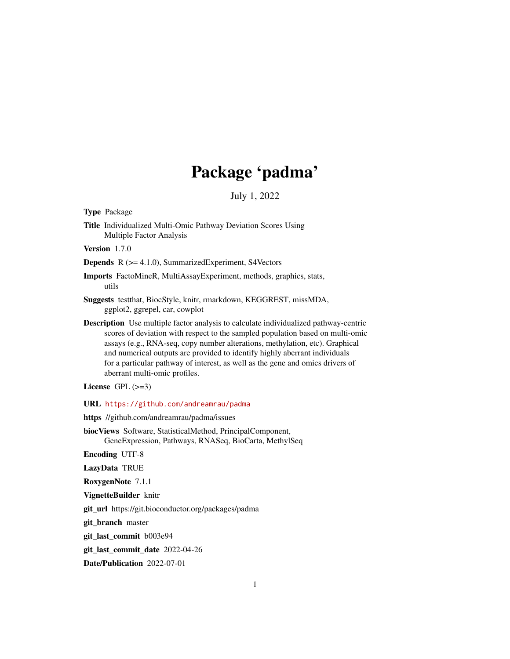## Package 'padma'

July 1, 2022

Type Package

Title Individualized Multi-Omic Pathway Deviation Scores Using Multiple Factor Analysis

Version 1.7.0

Depends R (>= 4.1.0), SummarizedExperiment, S4Vectors

Imports FactoMineR, MultiAssayExperiment, methods, graphics, stats, utils

Suggests testthat, BiocStyle, knitr, rmarkdown, KEGGREST, missMDA, ggplot2, ggrepel, car, cowplot

Description Use multiple factor analysis to calculate individualized pathway-centric scores of deviation with respect to the sampled population based on multi-omic assays (e.g., RNA-seq, copy number alterations, methylation, etc). Graphical and numerical outputs are provided to identify highly aberrant individuals for a particular pathway of interest, as well as the gene and omics drivers of aberrant multi-omic profiles.

License GPL  $(>=3)$ 

URL <https://github.com/andreamrau/padma>

https //github.com/andreamrau/padma/issues

biocViews Software, StatisticalMethod, PrincipalComponent, GeneExpression, Pathways, RNASeq, BioCarta, MethylSeq

Encoding UTF-8

LazyData TRUE

RoxygenNote 7.1.1

VignetteBuilder knitr

git\_url https://git.bioconductor.org/packages/padma

git\_branch master

git\_last\_commit b003e94

git\_last\_commit\_date 2022-04-26

Date/Publication 2022-07-01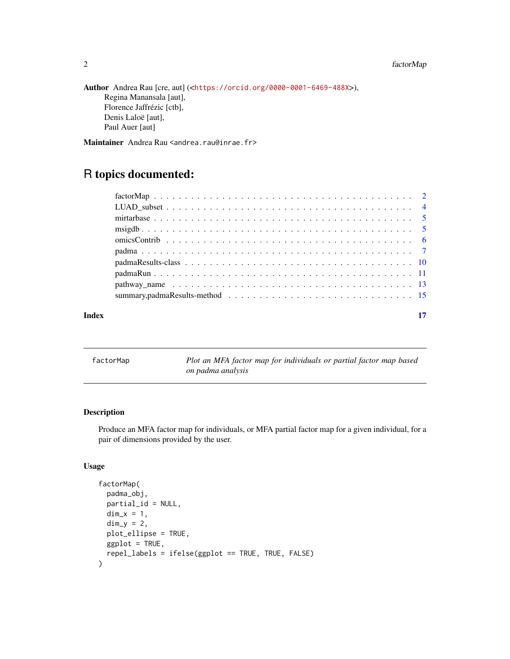### <span id="page-1-0"></span>2 factorMap

```
Author Andrea Rau [cre, aut] (<https://orcid.org/0000-0001-6469-488X>),
     Regina Manansala [aut],
     Florence Jaffrézic [ctb],
     Denis Laloë [aut],
     Paul Auer [aut]
```
Maintainer Andrea Rau <andrea.rau@inrae.fr>

### R topics documented:

| Index |  |
|-------|--|

factorMap *Plot an MFA factor map for individuals or partial factor map based on padma analysis*

#### Description

Produce an MFA factor map for individuals, or MFA partial factor map for a given individual, for a pair of dimensions provided by the user.

#### Usage

```
factorMap(
  padma_obj,
 partial_id = NULL,
  dim_x = 1,
  dim_y = 2,
 plot_ellipse = TRUE,
 ggplot = TRUE,
  repel_labels = ifelse(ggplot == TRUE, TRUE, FALSE)
\mathcal{E}
```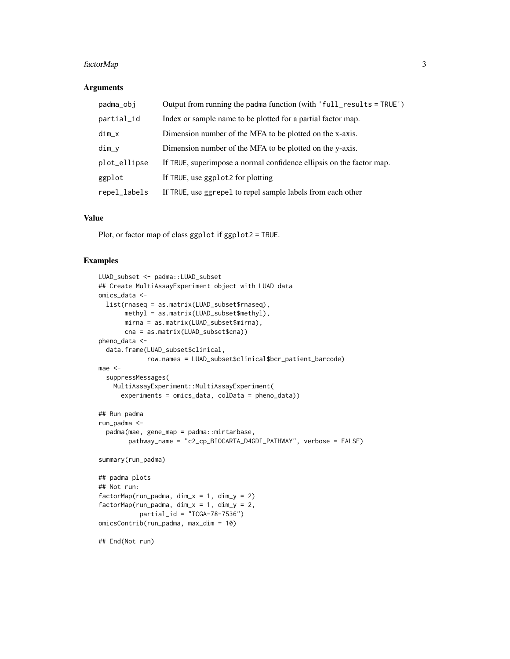#### factorMap 3

#### **Arguments**

| padma_obj    | Output from running the padma function (with 'full_results = TRUE')  |
|--------------|----------------------------------------------------------------------|
| partial_id   | Index or sample name to be plotted for a partial factor map.         |
| $dim_x$      | Dimension number of the MFA to be plotted on the x-axis.             |
| $dim_y$      | Dimension number of the MFA to be plotted on the y-axis.             |
| plot_ellipse | If TRUE, superimpose a normal confidence ellipsis on the factor map. |
| ggplot       | If TRUE, use ggplot2 for plotting                                    |
| repel_labels | If TRUE, use ggrepel to repel sample labels from each other          |

#### Value

Plot, or factor map of class ggplot if ggplot2 = TRUE.

```
LUAD_subset <- padma::LUAD_subset
## Create MultiAssayExperiment object with LUAD data
omics_data <-
  list(rnaseq = as.matrix(LUAD_subset$rnaseq),
       methyl = as.matrix(LUAD_subset$methyl),
       mirna = as.matrix(LUAD_subset$mirna),
      cna = as.matrix(LUAD_subset$cna))
pheno_data <-
  data.frame(LUAD_subset$clinical,
             row.names = LUAD_subset$clinical$bcr_patient_barcode)
mae <-
  suppressMessages(
   MultiAssayExperiment::MultiAssayExperiment(
      experiments = omics_data, colData = pheno_data))
## Run padma
run_padma <-
  padma(mae, gene_map = padma::mirtarbase,
        pathway_name = "c2_cp_BIOCARTA_D4GDI_PATHWAY", verbose = FALSE)
summary(run_padma)
## padma plots
## Not run:
factorMap(run_padma, \dim_x = 1, \dim_y = 2)
factorMap(run_padma, dim_x = 1, dim_y = 2,
           partial_id = "TCGA-78-7536")omicsContrib(run_padma, max_dim = 10)
## End(Not run)
```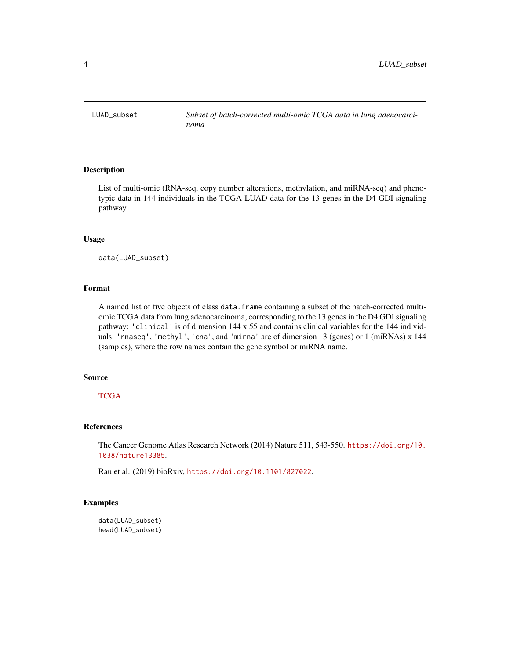<span id="page-3-0"></span>

#### Description

List of multi-omic (RNA-seq, copy number alterations, methylation, and miRNA-seq) and phenotypic data in 144 individuals in the TCGA-LUAD data for the 13 genes in the D4-GDI signaling pathway.

#### Usage

data(LUAD\_subset)

#### Format

A named list of five objects of class data. frame containing a subset of the batch-corrected multiomic TCGA data from lung adenocarcinoma, corresponding to the 13 genes in the D4 GDI signaling pathway: 'clinical' is of dimension 144 x 55 and contains clinical variables for the 144 individuals. 'rnaseq', 'methyl', 'cna', and 'mirna' are of dimension 13 (genes) or 1 (miRNAs) x 144 (samples), where the row names contain the gene symbol or miRNA name.

#### Source

#### **[TCGA](https://www.cancer.gov/about-nci/organization/ccg/research/structural-genomics/tcga)**

#### References

The Cancer Genome Atlas Research Network (2014) Nature 511, 543-550. [https://doi.org/10.](https://doi.org/10.1038/nature13385) [1038/nature13385](https://doi.org/10.1038/nature13385).

Rau et al. (2019) bioRxiv, <https://doi.org/10.1101/827022>.

```
data(LUAD_subset)
head(LUAD_subset)
```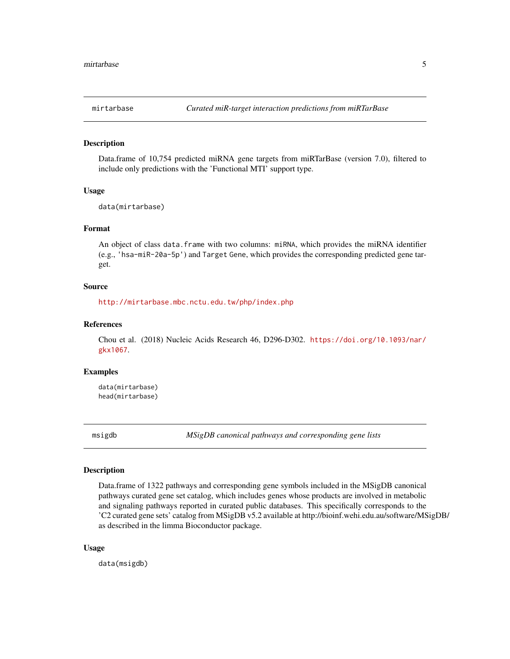<span id="page-4-0"></span>

#### Description

Data.frame of 10,754 predicted miRNA gene targets from miRTarBase (version 7.0), filtered to include only predictions with the 'Functional MTI' support type.

#### Usage

data(mirtarbase)

#### Format

An object of class data.frame with two columns: miRNA, which provides the miRNA identifier (e.g., 'hsa-miR-20a-5p') and Target Gene, which provides the corresponding predicted gene target.

#### Source

<http://mirtarbase.mbc.nctu.edu.tw/php/index.php>

#### References

Chou et al. (2018) Nucleic Acids Research 46, D296-D302. [https://doi.org/10.1093/nar/](https://doi.org/10.1093/nar/gkx1067) [gkx1067](https://doi.org/10.1093/nar/gkx1067).

#### Examples

data(mirtarbase) head(mirtarbase)

msigdb *MSigDB canonical pathways and corresponding gene lists*

#### Description

Data.frame of 1322 pathways and corresponding gene symbols included in the MSigDB canonical pathways curated gene set catalog, which includes genes whose products are involved in metabolic and signaling pathways reported in curated public databases. This specifically corresponds to the 'C2 curated gene sets' catalog from MSigDB v5.2 available at http://bioinf.wehi.edu.au/software/MSigDB/ as described in the limma Bioconductor package.

#### Usage

data(msigdb)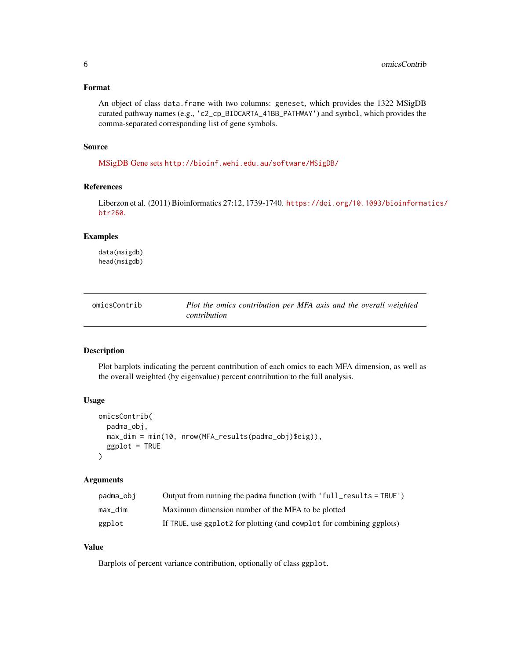#### <span id="page-5-0"></span>Format

An object of class data.frame with two columns: geneset, which provides the 1322 MSigDB curated pathway names (e.g., 'c2\_cp\_BIOCARTA\_41BB\_PATHWAY') and symbol, which provides the comma-separated corresponding list of gene symbols.

#### Source

[MSigDB Gene sets](http://software.broadinstitute.org/gsea/msigdb/genesets.jsp?collection=CP) <http://bioinf.wehi.edu.au/software/MSigDB/>

#### References

Liberzon et al. (2011) Bioinformatics 27:12, 1739-1740. [https://doi.org/10.1093/bioinforma](https://doi.org/10.1093/bioinformatics/btr260)tics/ [btr260](https://doi.org/10.1093/bioinformatics/btr260).

#### Examples

data(msigdb) head(msigdb)

| omicsContrib | Plot the omics contribution per MFA axis and the overall weighted |
|--------------|-------------------------------------------------------------------|
|              | contribution                                                      |

#### Description

Plot barplots indicating the percent contribution of each omics to each MFA dimension, as well as the overall weighted (by eigenvalue) percent contribution to the full analysis.

#### Usage

```
omicsContrib(
 padma_obj,
 max_dim = min(10, nrow(MFA_results(padma_obj)$eig)),
 ggplot = TRUE
\lambda
```
#### Arguments

| padma_obj | Output from running the padma function (with 'full_results = TRUE')   |
|-----------|-----------------------------------------------------------------------|
| max dim   | Maximum dimension number of the MFA to be plotted                     |
| ggplot    | If TRUE, use ggplot2 for plotting (and cowplot for combining ggplots) |

#### Value

Barplots of percent variance contribution, optionally of class ggplot.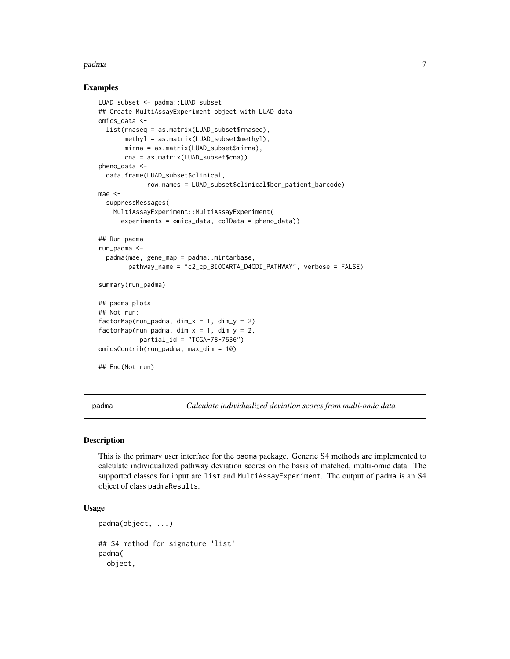#### <span id="page-6-0"></span>padma 70 metatra. Penerbang pada 20 metatra. Penerbang pada 20 metatra. Penerbang pada 20 metatra. Penerbang a

#### Examples

```
LUAD_subset <- padma::LUAD_subset
## Create MultiAssayExperiment object with LUAD data
omics_data <-
  list(rnaseq = as.matrix(LUAD_subset$rnaseq),
       methyl = as.matrix(LUAD_subset$methyl),
       mirna = as.matrix(LUAD_subset$mirna),
       cna = as.matrix(LUAD_subset$cna))
pheno_data <-
  data.frame(LUAD_subset$clinical,
             row.names = LUAD_subset$clinical$bcr_patient_barcode)
mae <-
  suppressMessages(
   MultiAssayExperiment::MultiAssayExperiment(
      experiments = omics_data, colData = pheno_data))
## Run padma
run_padma <-
  padma(mae, gene_map = padma::mirtarbase,
        pathway_name = "c2_cp_BIOCARTA_D4GDI_PATHWAY", verbose = FALSE)
summary(run_padma)
## padma plots
## Not run:
factorMap(run_padma, \dim_x x = 1, \dim_y x = 2)
factorMap(run_padma, \dim_x = 1, \dim_y = 2,
           partial_id = "TCGA-78-7536")omicsContrib(run_padma, max_dim = 10)
## End(Not run)
```
padma *Calculate individualized deviation scores from multi-omic data*

#### Description

This is the primary user interface for the padma package. Generic S4 methods are implemented to calculate individualized pathway deviation scores on the basis of matched, multi-omic data. The supported classes for input are list and MultiAssayExperiment. The output of padma is an S4 object of class padmaResults.

#### Usage

```
padma(object, ...)
## S4 method for signature 'list'
padma(
  object,
```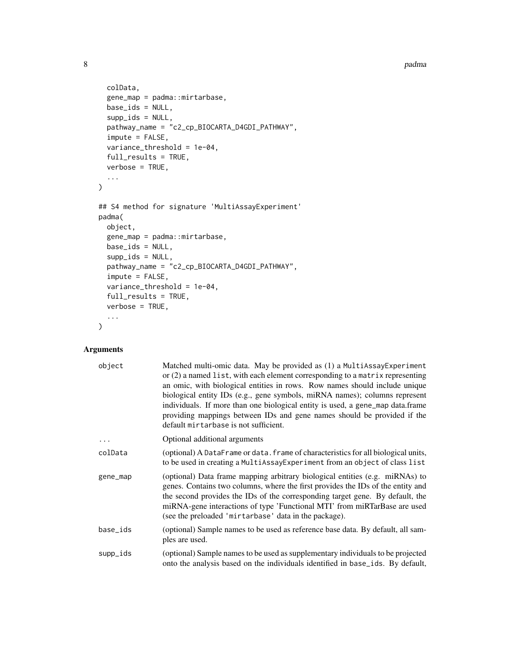8 padma bahasa sebagai kecamatan ini berasal kecamatan padma bahasa sebagai kecamatan padma bahasa sebagai kec

```
colData,
  gene_map = padma::mirtarbase,
 base_ids = NULL,
  supp_ids = NULL,
  pathway_name = "c2_cp_BIOCARTA_D4GDI_PATHWAY",
  impute = FALSE,
  variance_threshold = 1e-04,
  full_results = TRUE,
  verbose = TRUE,
  ...
\mathcal{L}## S4 method for signature 'MultiAssayExperiment'
padma(
 object,
  gene_map = padma::mirtarbase,
 base_ids = NULL,
  supp\_ids = NULL,pathway_name = "c2_cp_BIOCARTA_D4GDI_PATHWAY",
  impute = FALSE,
  variance_threshold = 1e-04,
  full_results = TRUE,
 verbose = TRUE,
  ...
\mathcal{L}
```
#### Arguments

| object   | Matched multi-omic data. May be provided as (1) a MultiAssayExperiment<br>or (2) a named list, with each element corresponding to a matrix representing<br>an omic, with biological entities in rows. Row names should include unique<br>biological entity IDs (e.g., gene symbols, miRNA names); columns represent<br>individuals. If more than one biological entity is used, a gene_map data.frame<br>providing mappings between IDs and gene names should be provided if the<br>default mirtarbase is not sufficient. |
|----------|---------------------------------------------------------------------------------------------------------------------------------------------------------------------------------------------------------------------------------------------------------------------------------------------------------------------------------------------------------------------------------------------------------------------------------------------------------------------------------------------------------------------------|
| .        | Optional additional arguments                                                                                                                                                                                                                                                                                                                                                                                                                                                                                             |
| colData  | (optional) A DataFrame or data. frame of characteristics for all biological units,<br>to be used in creating a MultiAssayExperiment from an object of class list                                                                                                                                                                                                                                                                                                                                                          |
| gene_map | (optional) Data frame mapping arbitrary biological entities (e.g. miRNAs) to<br>genes. Contains two columns, where the first provides the IDs of the entity and<br>the second provides the IDs of the corresponding target gene. By default, the<br>miRNA-gene interactions of type 'Functional MTI' from miRTarBase are used<br>(see the preloaded 'mirtarbase' data in the package).                                                                                                                                    |
| base_ids | (optional) Sample names to be used as reference base data. By default, all sam-<br>ples are used.                                                                                                                                                                                                                                                                                                                                                                                                                         |
| supp_ids | (optional) Sample names to be used as supplementary individuals to be projected<br>onto the analysis based on the individuals identified in base ids. By default,                                                                                                                                                                                                                                                                                                                                                         |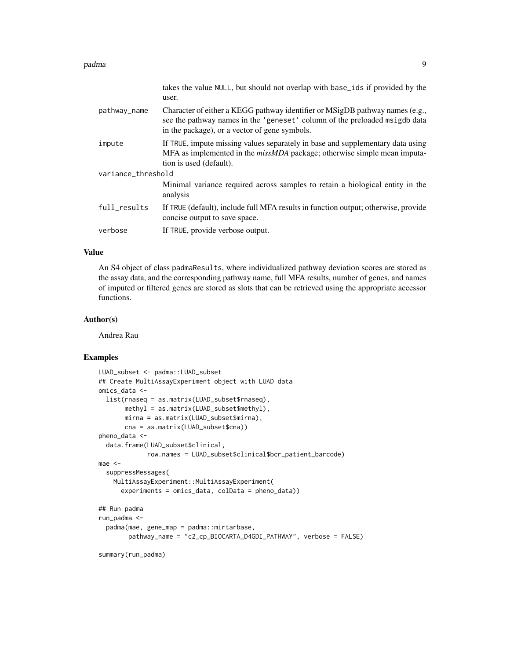#### padma 9

|                    | takes the value NULL, but should not overlap with base ids if provided by the<br>user.                                                                                                                      |
|--------------------|-------------------------------------------------------------------------------------------------------------------------------------------------------------------------------------------------------------|
| pathway_name       | Character of either a KEGG pathway identifier or MSigDB pathway names (e.g.,<br>see the pathway names in the 'geneset' column of the preloaded msigdb data<br>in the package), or a vector of gene symbols. |
| impute             | If TRUE, impute missing values separately in base and supplementary data using<br>MFA as implemented in the <i>missMDA</i> package; otherwise simple mean imputa-<br>tion is used (default).                |
| variance_threshold |                                                                                                                                                                                                             |
|                    | Minimal variance required across samples to retain a biological entity in the<br>analysis                                                                                                                   |
| full_results       | If TRUE (default), include full MFA results in function output; otherwise, provide<br>concise output to save space.                                                                                         |
| verbose            | If TRUE, provide verbose output.                                                                                                                                                                            |

#### Value

An S4 object of class padmaResults, where individualized pathway deviation scores are stored as the assay data, and the corresponding pathway name, full MFA results, number of genes, and names of imputed or filtered genes are stored as slots that can be retrieved using the appropriate accessor functions.

#### Author(s)

Andrea Rau

#### Examples

```
LUAD_subset <- padma::LUAD_subset
## Create MultiAssayExperiment object with LUAD data
omics_data <-
  list(rnaseq = as.matrix(LUAD_subset$rnaseq),
       methyl = as.matrix(LUAD_subset$methyl),
       mirna = as.matrix(LUAD_subset$mirna),
       cna = as.matrix(LUAD_subset$cna))
pheno_data <-
  data.frame(LUAD_subset$clinical,
             row.names = LUAD_subset$clinical$bcr_patient_barcode)
mae <-
  suppressMessages(
   MultiAssayExperiment::MultiAssayExperiment(
      experiments = omics_data, colData = pheno_data))
## Run padma
run_padma <-
  padma(mae, gene_map = padma::mirtarbase,
        pathway_name = "c2_cp_BIOCARTA_D4GDI_PATHWAY", verbose = FALSE)
```
summary(run\_padma)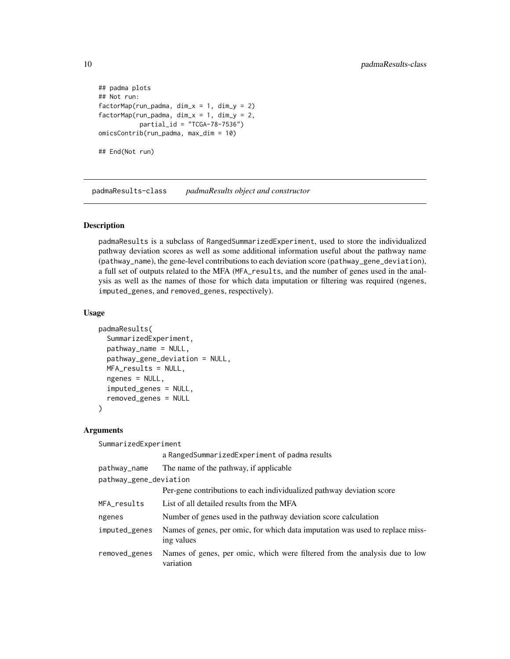```
## padma plots
## Not run:
factorMap(run_padma, dim_x = 1, dim_y = 2)
factorMap(run_padma, \dim_x = 1, \dim_y = 2,
           partial_id = "TCGA-78-7536")omicsContrib(run_padma, max_dim = 10)
## End(Not run)
```
padmaResults-class *padmaResults object and constructor*

#### Description

padmaResults is a subclass of RangedSummarizedExperiment, used to store the individualized pathway deviation scores as well as some additional information useful about the pathway name (pathway\_name), the gene-level contributions to each deviation score (pathway\_gene\_deviation), a full set of outputs related to the MFA (MFA\_results, and the number of genes used in the analysis as well as the names of those for which data imputation or filtering was required (ngenes, imputed\_genes, and removed\_genes, respectively).

#### Usage

```
padmaResults(
  SummarizedExperiment,
  pathway_name = NULL,
 pathway_gene_deviation = NULL,
 MFA_results = NULL,
  ngenes = NULL,
  imputed_genes = NULL,
  removed_genes = NULL
)
```
#### Arguments

SummarizedExperiment

|                        | a RangedSummarizedExperiment of padma results                                               |  |
|------------------------|---------------------------------------------------------------------------------------------|--|
| pathway_name           | The name of the pathway, if applicable                                                      |  |
| pathway_gene_deviation |                                                                                             |  |
|                        | Per-gene contributions to each individualized pathway deviation score                       |  |
| MFA_results            | List of all detailed results from the MFA                                                   |  |
| ngenes                 | Number of genes used in the pathway deviation score calculation                             |  |
| imputed_genes          | Names of genes, per omic, for which data imputation was used to replace miss-<br>ing values |  |
| removed_genes          | Names of genes, per omic, which were filtered from the analysis due to low<br>variation     |  |
|                        |                                                                                             |  |

<span id="page-9-0"></span>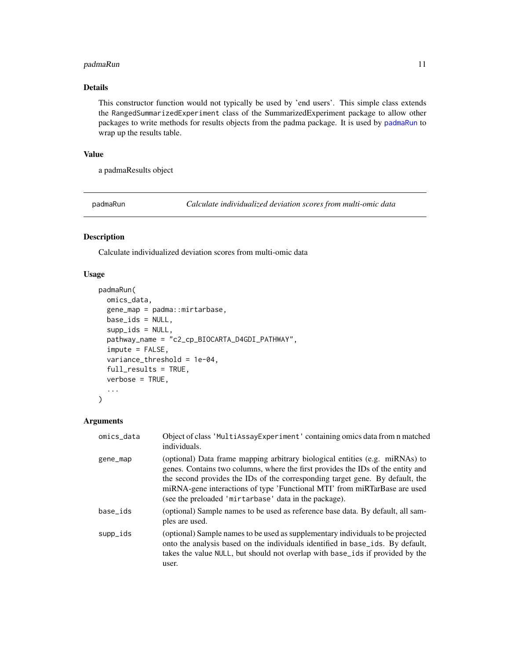#### <span id="page-10-0"></span>padmaRun 11

#### Details

This constructor function would not typically be used by 'end users'. This simple class extends the RangedSummarizedExperiment class of the SummarizedExperiment package to allow other packages to write methods for results objects from the padma package. It is used by [padmaRun](#page-10-1) to wrap up the results table.

#### Value

a padmaResults object

<span id="page-10-1"></span>padmaRun *Calculate individualized deviation scores from multi-omic data*

#### Description

Calculate individualized deviation scores from multi-omic data

#### Usage

```
padmaRun(
  omics_data,
  gene_map = padma::mirtarbase,
  base_ids = NULL,
  supp\_ids = NULL,pathway_name = "c2_cp_BIOCARTA_D4GDI_PATHWAY",
  \text{impute} = \text{FALSE},variance_threshold = 1e-04,
  full_results = TRUE,
  verbose = TRUE,
  ...
)
```
#### Arguments

| omics_data | Object of class 'MultiAssayExperiment' containing omics data from n matched<br>individuals.                                                                                                                                                                                                                                                                                            |
|------------|----------------------------------------------------------------------------------------------------------------------------------------------------------------------------------------------------------------------------------------------------------------------------------------------------------------------------------------------------------------------------------------|
| gene_map   | (optional) Data frame mapping arbitrary biological entities (e.g. miRNAs) to<br>genes. Contains two columns, where the first provides the IDs of the entity and<br>the second provides the IDs of the corresponding target gene. By default, the<br>miRNA-gene interactions of type 'Functional MTI' from miRTarBase are used<br>(see the preloaded 'mirtarbase' data in the package). |
| base ids   | (optional) Sample names to be used as reference base data. By default, all sam-<br>ples are used.                                                                                                                                                                                                                                                                                      |
| supp_ids   | (optional) Sample names to be used as supplementary individuals to be projected<br>onto the analysis based on the individuals identified in base_ids. By default,<br>takes the value NULL, but should not overlap with base_ids if provided by the<br>user.                                                                                                                            |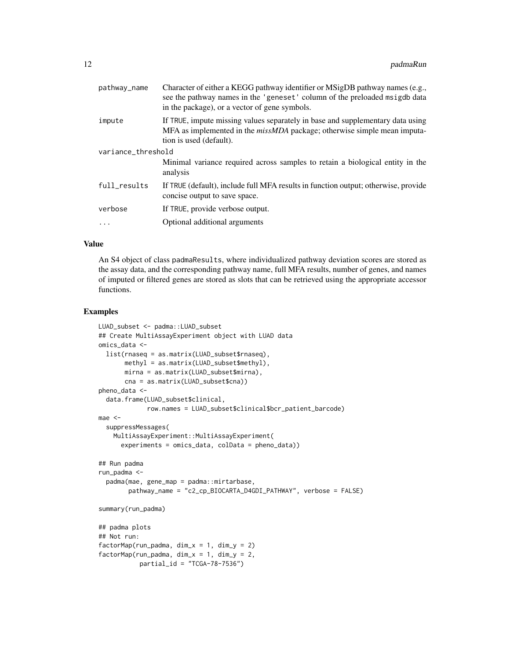| pathway_name       | Character of either a KEGG pathway identifier or MSigDB pathway names (e.g.,<br>see the pathway names in the 'geneset' column of the preloaded msigdb data<br>in the package), or a vector of gene symbols. |
|--------------------|-------------------------------------------------------------------------------------------------------------------------------------------------------------------------------------------------------------|
| impute             | If TRUE, impute missing values separately in base and supplementary data using<br>MFA as implemented in the <i>missMDA</i> package; otherwise simple mean imputa-<br>tion is used (default).                |
| variance_threshold |                                                                                                                                                                                                             |
|                    | Minimal variance required across samples to retain a biological entity in the<br>analysis                                                                                                                   |
| full_results       | If TRUE (default), include full MFA results in function output; otherwise, provide<br>concise output to save space.                                                                                         |
| verbose            | If TRUE, provide verbose output.                                                                                                                                                                            |
|                    | Optional additional arguments                                                                                                                                                                               |
|                    |                                                                                                                                                                                                             |

#### Value

An S4 object of class padmaResults, where individualized pathway deviation scores are stored as the assay data, and the corresponding pathway name, full MFA results, number of genes, and names of imputed or filtered genes are stored as slots that can be retrieved using the appropriate accessor functions.

```
LUAD_subset <- padma::LUAD_subset
## Create MultiAssayExperiment object with LUAD data
omics_data <-
  list(rnaseq = as.matrix(LUAD_subset$rnaseq),
       methyl = as.matrix(LUAD_subset$methyl),
      mirna = as.matrix(LUAD_subset$mirna),
      cna = as.matrix(LUAD_subset$cna))
pheno_data <-
  data.frame(LUAD_subset$clinical,
             row.names = LUAD_subset$clinical$bcr_patient_barcode)
mae <-
  suppressMessages(
   MultiAssayExperiment::MultiAssayExperiment(
      experiments = omics_data, colData = pheno_data))
## Run padma
run_padma <-
  padma(mae, gene_map = padma::mirtarbase,
        pathway_name = "c2_cp_BIOCARTA_D4GDI_PATHWAY", verbose = FALSE)
summary(run_padma)
## padma plots
## Not run:
factorMap(run_padma, dim_x = 1, dim_y = 2)
factorMap(run_padma, \dim_x = 1, \dim_y = 2,
           partial_id = "TCGA-78-7536")
```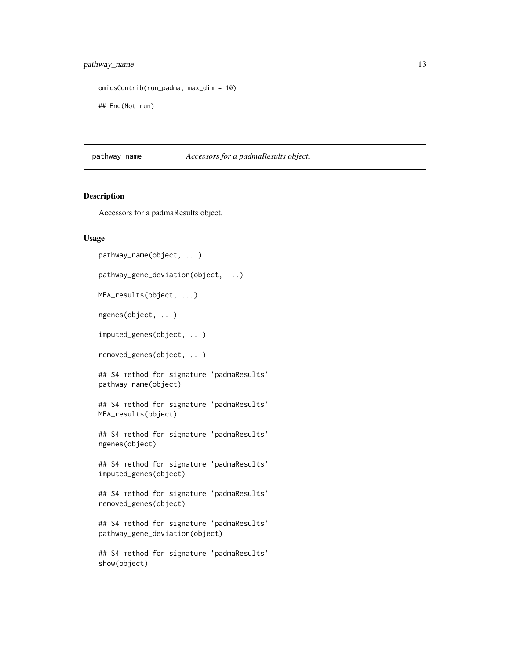#### <span id="page-12-0"></span>pathway\_name 13

```
omicsContrib(run_padma, max_dim = 10)
```
## End(Not run)

pathway\_name *Accessors for a padmaResults object.*

#### Description

Accessors for a padmaResults object.

#### Usage

```
pathway_name(object, ...)
pathway_gene_deviation(object, ...)
MFA_results(object, ...)
ngenes(object, ...)
imputed_genes(object, ...)
removed_genes(object, ...)
## S4 method for signature 'padmaResults'
pathway_name(object)
## S4 method for signature 'padmaResults'
MFA_results(object)
## S4 method for signature 'padmaResults'
ngenes(object)
## S4 method for signature 'padmaResults'
imputed_genes(object)
## S4 method for signature 'padmaResults'
removed_genes(object)
## S4 method for signature 'padmaResults'
pathway_gene_deviation(object)
## S4 method for signature 'padmaResults'
show(object)
```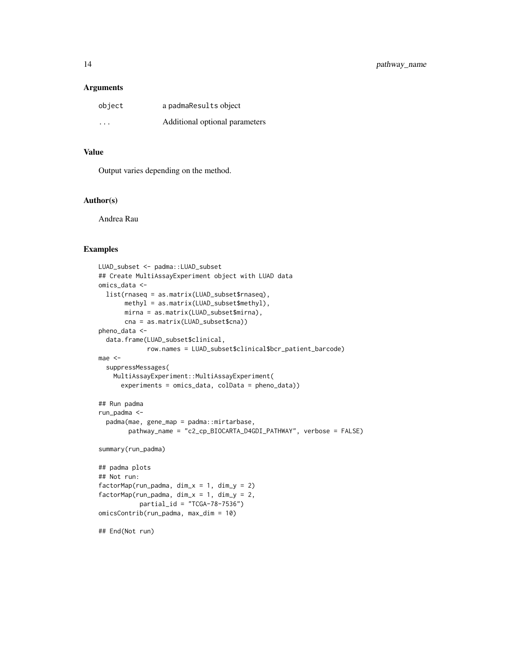#### **Arguments**

| object  | a padmaResults object          |
|---------|--------------------------------|
| $\cdot$ | Additional optional parameters |

#### Value

Output varies depending on the method.

#### Author(s)

Andrea Rau

```
LUAD_subset <- padma::LUAD_subset
## Create MultiAssayExperiment object with LUAD data
omics_data <-
  list(rnaseq = as.matrix(LUAD_subset$rnaseq),
       methyl = as.matrix(LUAD_subset$methyl),
       mirna = as.matrix(LUAD_subset$mirna),
       cna = as.matrix(LUAD_subset$cna))
pheno_data <-
  data.frame(LUAD_subset$clinical,
             row.names = LUAD_subset$clinical$bcr_patient_barcode)
mae <-
  suppressMessages(
   MultiAssayExperiment::MultiAssayExperiment(
      experiments = omics_data, colData = pheno_data))
## Run padma
run_padma <-
  padma(mae, gene_map = padma::mirtarbase,
        pathway_name = "c2_cp_BIOCARTA_D4GDI_PATHWAY", verbose = FALSE)
summary(run_padma)
## padma plots
## Not run:
factorMap(run_padma, \dim_x = 1, \dim_y = 2)
factorMap(run_padma, \dim_x x = 1, \dim_y x = 2,
           partial_id = "TCGA-78-7536")
omicsContrib(run_padma, max_dim = 10)
## End(Not run)
```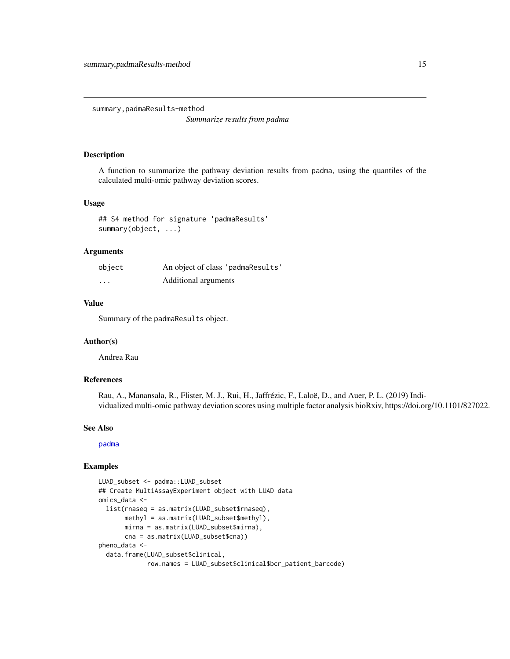<span id="page-14-0"></span>summary,padmaResults-method

*Summarize results from padma*

#### Description

A function to summarize the pathway deviation results from padma, using the quantiles of the calculated multi-omic pathway deviation scores.

#### Usage

## S4 method for signature 'padmaResults' summary(object, ...)

#### Arguments

| object   | An object of class 'padmaResults' |
|----------|-----------------------------------|
| $\cdots$ | Additional arguments              |

#### Value

Summary of the padmaResults object.

#### Author(s)

Andrea Rau

#### References

Rau, A., Manansala, R., Flister, M. J., Rui, H., Jaffrézic, F., Laloë, D., and Auer, P. L. (2019) Individualized multi-omic pathway deviation scores using multiple factor analysis bioRxiv, https://doi.org/10.1101/827022.

#### See Also

[padma](#page-6-1)

```
LUAD_subset <- padma::LUAD_subset
## Create MultiAssayExperiment object with LUAD data
omics_data <-
  list(rnaseq = as.matrix(LUAD_subset$rnaseq),
       methyl = as.matrix(LUAD_subset$methyl),
       mirna = as.matrix(LUAD_subset$mirna),
       cna = as.matrix(LUAD_subset$cna))
pheno_data <-
  data.frame(LUAD_subset$clinical,
             row.names = LUAD_subset$clinical$bcr_patient_barcode)
```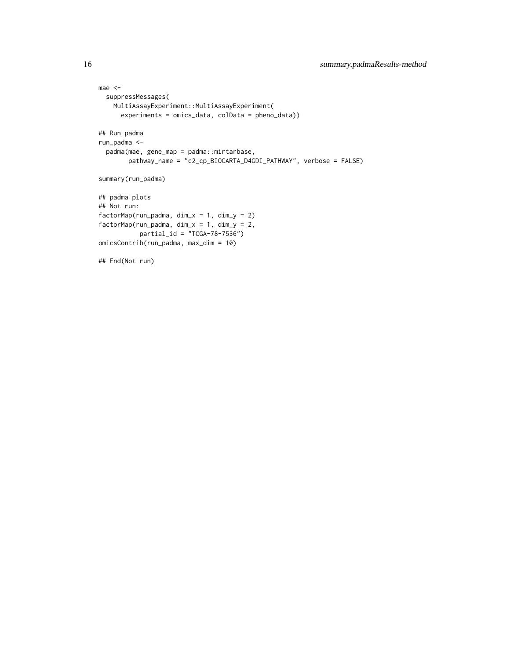```
mae <-
  suppressMessages(
   MultiAssayExperiment::MultiAssayExperiment(
      experiments = omics_data, colData = pheno_data))
## Run padma
run_padma <-
  padma(mae, gene_map = padma::mirtarbase,
       pathway_name = "c2_cp_BIOCARTA_D4GDI_PATHWAY", verbose = FALSE)
summary(run_padma)
## padma plots
## Not run:
factorMap(run_padma, dim_x = 1, dim_y = 2)
factorMap(run_padma, dim_x = 1, dim_y = 2,
          partial_id = "TCGA-78-7536")
omicsContrib(run_padma, max_dim = 10)
## End(Not run)
```